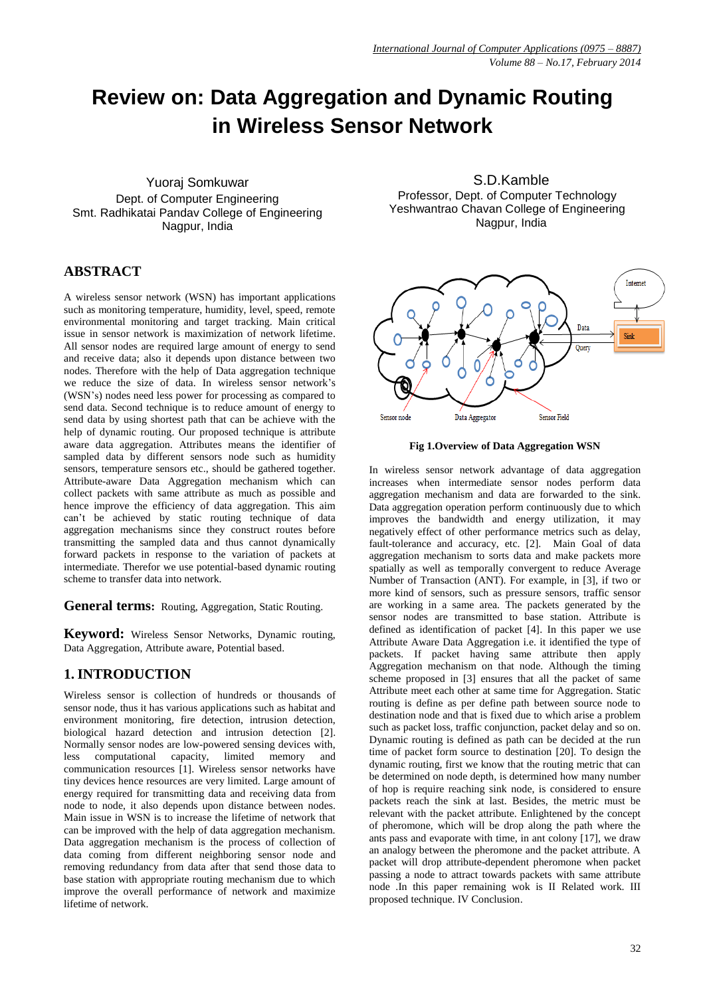# **Review on: Data Aggregation and Dynamic Routing in Wireless Sensor Network**

Yuoraj Somkuwar Dept. of Computer Engineering Smt. Radhikatai Pandav College of Engineering Nagpur, India

# **ABSTRACT**

A wireless sensor network (WSN) has important applications such as monitoring temperature, humidity, level, speed, remote environmental monitoring and target tracking. Main critical issue in sensor network is maximization of network lifetime. All sensor nodes are required large amount of energy to send and receive data; also it depends upon distance between two nodes. Therefore with the help of Data aggregation technique we reduce the size of data. In wireless sensor network's (WSN's) nodes need less power for processing as compared to send data. Second technique is to reduce amount of energy to send data by using shortest path that can be achieve with the help of dynamic routing. Our proposed technique is attribute aware data aggregation. Attributes means the identifier of sampled data by different sensors node such as humidity sensors, temperature sensors etc., should be gathered together. Attribute-aware Data Aggregation mechanism which can collect packets with same attribute as much as possible and hence improve the efficiency of data aggregation. This aim can't be achieved by static routing technique of data aggregation mechanisms since they construct routes before transmitting the sampled data and thus cannot dynamically forward packets in response to the variation of packets at intermediate. Therefor we use potential-based dynamic routing scheme to transfer data into network.

**General terms:** Routing, Aggregation, Static Routing.

**Keyword:** Wireless Sensor Networks, Dynamic routing, Data Aggregation, Attribute aware, Potential based.

# **1. INTRODUCTION**

Wireless sensor is collection of hundreds or thousands of sensor node, thus it has various applications such as habitat and environment monitoring, fire detection, intrusion detection, biological hazard detection and intrusion detection [2]. Normally sensor nodes are low-powered sensing devices with, less computational capacity, limited memory and communication resources [1]. Wireless sensor networks have tiny devices hence resources are very limited. Large amount of energy required for transmitting data and receiving data from node to node, it also depends upon distance between nodes. Main issue in WSN is to increase the lifetime of network that can be improved with the help of data aggregation mechanism. Data aggregation mechanism is the process of collection of data coming from different neighboring sensor node and removing redundancy from data after that send those data to base station with appropriate routing mechanism due to which improve the overall performance of network and maximize lifetime of network.

S.D.Kamble Professor, Dept. of Computer Technology Yeshwantrao Chavan College of Engineering Nagpur, India



**Fig 1.Overview of Data Aggregation WSN**

In wireless sensor network advantage of data aggregation increases when intermediate sensor nodes perform data aggregation mechanism and data are forwarded to the sink. Data aggregation operation perform continuously due to which improves the bandwidth and energy utilization, it may negatively effect of other performance metrics such as delay, fault-tolerance and accuracy, etc. [2]. Main Goal of data aggregation mechanism to sorts data and make packets more spatially as well as temporally convergent to reduce Average Number of Transaction (ANT). For example, in [3], if two or more kind of sensors, such as pressure sensors, traffic sensor are working in a same area. The packets generated by the sensor nodes are transmitted to base station. Attribute is defined as identification of packet [4]. In this paper we use Attribute Aware Data Aggregation i.e. it identified the type of packets. If packet having same attribute then apply Aggregation mechanism on that node. Although the timing scheme proposed in [3] ensures that all the packet of same Attribute meet each other at same time for Aggregation. Static routing is define as per define path between source node to destination node and that is fixed due to which arise a problem such as packet loss, traffic conjunction, packet delay and so on. Dynamic routing is defined as path can be decided at the run time of packet form source to destination [20]. To design the dynamic routing, first we know that the routing metric that can be determined on node depth, is determined how many number of hop is require reaching sink node, is considered to ensure packets reach the sink at last. Besides, the metric must be relevant with the packet attribute. Enlightened by the concept of pheromone, which will be drop along the path where the ants pass and evaporate with time, in ant colony [17], we draw an analogy between the pheromone and the packet attribute. A packet will drop attribute-dependent pheromone when packet passing a node to attract towards packets with same attribute node .In this paper remaining wok is II Related work. III proposed technique. IV Conclusion.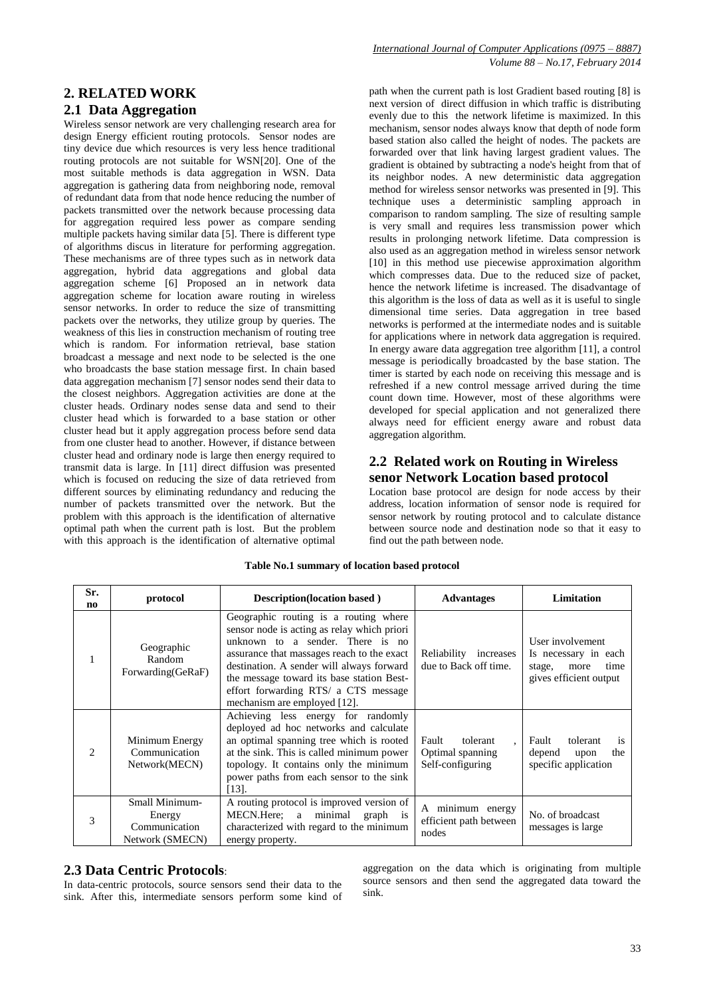# **2. RELATED WORK**

# **2.1 Data Aggregation**

Wireless sensor network are very challenging research area for design Energy efficient routing protocols. Sensor nodes are tiny device due which resources is very less hence traditional routing protocols are not suitable for WSN[20]. One of the most suitable methods is data aggregation in WSN. Data aggregation is gathering data from neighboring node, removal of redundant data from that node hence reducing the number of packets transmitted over the network because processing data for aggregation required less power as compare sending multiple packets having similar data [5]. There is different type of algorithms discus in literature for performing aggregation. These mechanisms are of three types such as in network data aggregation, hybrid data aggregations and global data aggregation scheme [6] Proposed an in network data aggregation scheme for location aware routing in wireless sensor networks. In order to reduce the size of transmitting packets over the networks, they utilize group by queries. The weakness of this lies in construction mechanism of routing tree which is random. For information retrieval, base station broadcast a message and next node to be selected is the one who broadcasts the base station message first. In chain based data aggregation mechanism [7] sensor nodes send their data to the closest neighbors. Aggregation activities are done at the cluster heads. Ordinary nodes sense data and send to their cluster head which is forwarded to a base station or other cluster head but it apply aggregation process before send data from one cluster head to another. However, if distance between cluster head and ordinary node is large then energy required to transmit data is large. In [11] direct diffusion was presented which is focused on reducing the size of data retrieved from different sources by eliminating redundancy and reducing the number of packets transmitted over the network. But the problem with this approach is the identification of alternative optimal path when the current path is lost. But the problem with this approach is the identification of alternative optimal path when the current path is lost Gradient based routing [8] is next version of direct diffusion in which traffic is distributing evenly due to this the network lifetime is maximized. In this mechanism, sensor nodes always know that depth of node form based station also called the height of nodes. The packets are forwarded over that link having largest gradient values. The gradient is obtained by subtracting a node's height from that of its neighbor nodes. A new deterministic data aggregation method for wireless sensor networks was presented in [9]. This technique uses a deterministic sampling approach in comparison to random sampling. The size of resulting sample is very small and requires less transmission power which results in prolonging network lifetime. Data compression is also used as an aggregation method in wireless sensor network [10] in this method use piecewise approximation algorithm which compresses data. Due to the reduced size of packet, hence the network lifetime is increased. The disadvantage of this algorithm is the loss of data as well as it is useful to single dimensional time series. Data aggregation in tree based networks is performed at the intermediate nodes and is suitable for applications where in network data aggregation is required. In energy aware data aggregation tree algorithm [11], a control message is periodically broadcasted by the base station. The timer is started by each node on receiving this message and is refreshed if a new control message arrived during the time count down time. However, most of these algorithms were developed for special application and not generalized there always need for efficient energy aware and robust data aggregation algorithm.

## **2.2 Related work on Routing in Wireless senor Network Location based protocol**

Location base protocol are design for node access by their address, location information of sensor node is required for sensor network by routing protocol and to calculate distance between source node and destination node so that it easy to find out the path between node.

|  |  | Table No.1 summary of location based protocol |  |  |
|--|--|-----------------------------------------------|--|--|
|--|--|-----------------------------------------------|--|--|

| Sr.<br>no                   | protocol                                                     | <b>Description</b> (location based)                                                                                                                                                                                                                                                                                                      | <b>Advantages</b>                                         | Limitation                                                                                   |
|-----------------------------|--------------------------------------------------------------|------------------------------------------------------------------------------------------------------------------------------------------------------------------------------------------------------------------------------------------------------------------------------------------------------------------------------------------|-----------------------------------------------------------|----------------------------------------------------------------------------------------------|
|                             | Geographic<br>Random<br>Forwarding(GeRaF)                    | Geographic routing is a routing where<br>sensor node is acting as relay which priori<br>unknown to a sender. There is no<br>assurance that massages reach to the exact<br>destination. A sender will always forward<br>the message toward its base station Best-<br>effort forwarding RTS/ a CTS message<br>mechanism are employed [12]. | Reliability increases<br>due to Back off time.            | User involvement<br>Is necessary in each<br>stage,<br>time<br>more<br>gives efficient output |
| $\mathcal{D}_{\mathcal{L}}$ | Minimum Energy<br>Communication<br>Network(MECN)             | Achieving less energy for randomly<br>deployed ad hoc networks and calculate<br>an optimal spanning tree which is rooted<br>at the sink. This is called minimum power<br>topology. It contains only the minimum<br>power paths from each sensor to the sink<br>[13].                                                                     | Fault<br>tolerant<br>Optimal spanning<br>Self-configuring | Fault<br>tolerant<br><i>is</i><br>depend<br>the<br>upon<br>specific application              |
| 3                           | Small Minimum-<br>Energy<br>Communication<br>Network (SMECN) | A routing protocol is improved version of<br>MECN.Here; a minimal<br>graph is<br>characterized with regard to the minimum<br>energy property.                                                                                                                                                                                            | A minimum energy<br>efficient path between<br>nodes       | No. of broadcast<br>messages is large.                                                       |

#### **2.3 Data Centric Protocols**:

In data-centric protocols, source sensors send their data to the sink. After this, intermediate sensors perform some kind of

aggregation on the data which is originating from multiple source sensors and then send the aggregated data toward the sink.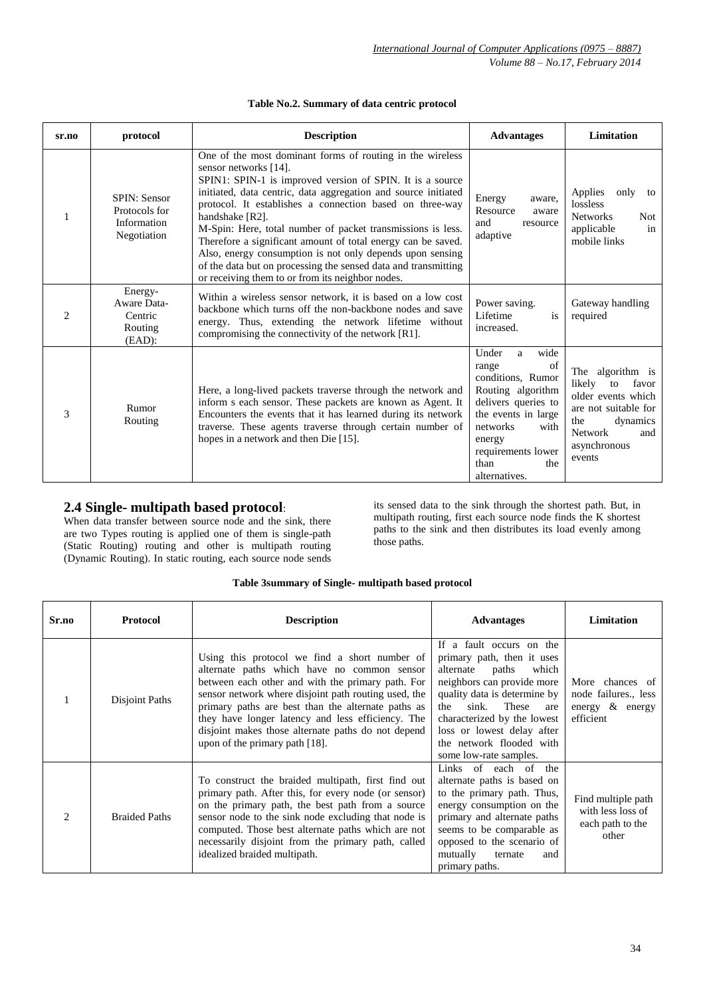| sr.no                       | protocol                                                           | <b>Description</b>                                                                                                                                                                                                                                                                                                                                                                                                                                                                                                                                                                                                 | <b>Advantages</b>                                                                                                                                                                                             | Limitation                                                                                                                                                    |
|-----------------------------|--------------------------------------------------------------------|--------------------------------------------------------------------------------------------------------------------------------------------------------------------------------------------------------------------------------------------------------------------------------------------------------------------------------------------------------------------------------------------------------------------------------------------------------------------------------------------------------------------------------------------------------------------------------------------------------------------|---------------------------------------------------------------------------------------------------------------------------------------------------------------------------------------------------------------|---------------------------------------------------------------------------------------------------------------------------------------------------------------|
|                             | <b>SPIN: Sensor</b><br>Protocols for<br>Information<br>Negotiation | One of the most dominant forms of routing in the wireless<br>sensor networks [14].<br>SPIN1: SPIN-1 is improved version of SPIN. It is a source<br>initiated, data centric, data aggregation and source initiated<br>protocol. It establishes a connection based on three-way<br>handshake [R2].<br>M-Spin: Here, total number of packet transmissions is less.<br>Therefore a significant amount of total energy can be saved.<br>Also, energy consumption is not only depends upon sensing<br>of the data but on processing the sensed data and transmitting<br>or receiving them to or from its neighbor nodes. | Energy<br>aware,<br>Resource<br>aware<br>and<br>resource<br>adaptive                                                                                                                                          | Applies<br>only<br>to<br>lossless<br><b>Networks</b><br>Not<br>applicable<br>in<br>mobile links                                                               |
| $\mathcal{D}_{\mathcal{L}}$ | Energy-<br>Aware Data-<br>Centric<br>Routing<br>$(EAD)$ :          | Within a wireless sensor network, it is based on a low cost<br>backbone which turns off the non-backbone nodes and save<br>energy. Thus, extending the network lifetime without<br>compromising the connectivity of the network [R1].                                                                                                                                                                                                                                                                                                                                                                              | Power saving.<br>Lifetime<br>is<br>increased.                                                                                                                                                                 | Gateway handling<br>required                                                                                                                                  |
| 3                           | Rumor<br>Routing                                                   | Here, a long-lived packets traverse through the network and<br>inform s each sensor. These packets are known as Agent. It<br>Encounters the events that it has learned during its network<br>traverse. These agents traverse through certain number of<br>hopes in a network and then Die [15].                                                                                                                                                                                                                                                                                                                    | Under<br>wide<br>a<br>of<br>range<br>conditions. Rumor<br>Routing algorithm<br>delivers queries to<br>the events in large<br>networks<br>with<br>energy<br>requirements lower<br>than<br>the<br>alternatives. | The algorithm is<br>likely<br>favor<br>to<br>older events which<br>are not suitable for<br>the<br>dynamics<br><b>Network</b><br>and<br>asynchronous<br>events |

#### **Table No.2. Summary of data centric protocol**

# **2.4 Single- multipath based protocol**:

When data transfer between source node and the sink, there are two Types routing is applied one of them is single-path (Static Routing) routing and other is multipath routing (Dynamic Routing). In static routing, each source node sends

its sensed data to the sink through the shortest path. But, in multipath routing, first each source node finds the K shortest paths to the sink and then distributes its load evenly among those paths.

#### **Table 3summary of Single- multipath based protocol**

| Sr.no          | <b>Protocol</b>      | <b>Description</b>                                                                                                                                                                                                                                                                                                                                                                                              | <b>Advantages</b>                                                                                                                                                                                                                                                                                      | Limitation                                                              |
|----------------|----------------------|-----------------------------------------------------------------------------------------------------------------------------------------------------------------------------------------------------------------------------------------------------------------------------------------------------------------------------------------------------------------------------------------------------------------|--------------------------------------------------------------------------------------------------------------------------------------------------------------------------------------------------------------------------------------------------------------------------------------------------------|-------------------------------------------------------------------------|
|                | Disjoint Paths       | Using this protocol we find a short number of<br>alternate paths which have no common sensor<br>between each other and with the primary path. For<br>sensor network where disjoint path routing used, the<br>primary paths are best than the alternate paths as<br>they have longer latency and less efficiency. The<br>disjoint makes those alternate paths do not depend<br>upon of the primary path $[18]$ . | If a fault occurs on the<br>primary path, then it uses<br>alternate<br>paths<br>which<br>neighbors can provide more<br>quality data is determine by<br>sink.<br>These<br>the<br>are<br>characterized by the lowest<br>loss or lowest delay after<br>the network flooded with<br>some low-rate samples. | More chances of<br>node failures., less<br>energy & energy<br>efficient |
| $\mathfrak{D}$ | <b>Braided Paths</b> | To construct the braided multipath, first find out<br>primary path. After this, for every node (or sensor)<br>on the primary path, the best path from a source<br>sensor node to the sink node excluding that node is<br>computed. Those best alternate paths which are not<br>necessarily disjoint from the primary path, called<br>idealized braided multipath.                                               | Links of each of<br>the<br>alternate paths is based on<br>to the primary path. Thus,<br>energy consumption on the<br>primary and alternate paths<br>seems to be comparable as<br>opposed to the scenario of<br>mutually<br>ternate<br>and<br>primary paths.                                            | Find multiple path<br>with less loss of<br>each path to the<br>other    |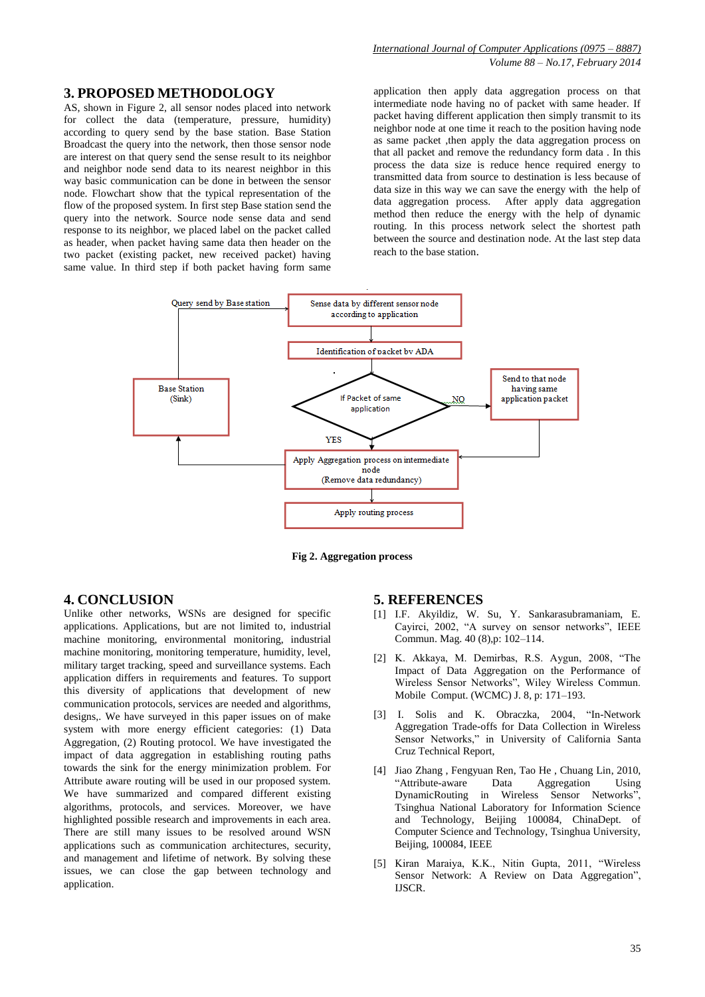## **3. PROPOSED METHODOLOGY**

AS, shown in Figure 2, all sensor nodes placed into network for collect the data (temperature, pressure, humidity) according to query send by the base station. Base Station Broadcast the query into the network, then those sensor node are interest on that query send the sense result to its neighbor and neighbor node send data to its nearest neighbor in this way basic communication can be done in between the sensor node. Flowchart show that the typical representation of the flow of the proposed system. In first step Base station send the query into the network. Source node sense data and send response to its neighbor, we placed label on the packet called as header, when packet having same data then header on the two packet (existing packet, new received packet) having same value. In third step if both packet having form same

application then apply data aggregation process on that intermediate node having no of packet with same header. If packet having different application then simply transmit to its neighbor node at one time it reach to the position having node as same packet ,then apply the data aggregation process on that all packet and remove the redundancy form data . In this process the data size is reduce hence required energy to transmitted data from source to destination is less because of data size in this way we can save the energy with the help of data aggregation process. After apply data aggregation method then reduce the energy with the help of dynamic routing. In this process network select the shortest path between the source and destination node. At the last step data reach to the base station.



**Fig 2. Aggregation process**

#### **4. CONCLUSION**

Unlike other networks, WSNs are designed for specific applications. Applications, but are not limited to, industrial machine monitoring, environmental monitoring, industrial machine monitoring, monitoring temperature, humidity, level, military target tracking, speed and surveillance systems. Each application differs in requirements and features. To support this diversity of applications that development of new communication protocols, services are needed and algorithms, designs,. We have surveyed in this paper issues on of make system with more energy efficient categories: (1) Data Aggregation, (2) Routing protocol. We have investigated the impact of data aggregation in establishing routing paths towards the sink for the energy minimization problem. For Attribute aware routing will be used in our proposed system. We have summarized and compared different existing algorithms, protocols, and services. Moreover, we have highlighted possible research and improvements in each area. There are still many issues to be resolved around WSN applications such as communication architectures, security, and management and lifetime of network. By solving these issues, we can close the gap between technology and application.

#### **5. REFERENCES**

- [1] I.F. Akyildiz, W. Su, Y. Sankarasubramaniam, E. Cayirci, 2002, "A survey on sensor networks", IEEE Commun. Mag. 40 (8),p: 102–114.
- [2] K. Akkaya, M. Demirbas, R.S. Aygun, 2008, "The Impact of Data Aggregation on the Performance of Wireless Sensor Networks", Wiley Wireless Commun. Mobile Comput. (WCMC) J. 8, p: 171–193.
- [3] I. Solis and K. Obraczka, 2004, "In-Network Aggregation Trade-offs for Data Collection in Wireless Sensor Networks," in University of California Santa Cruz Technical Report,
- [4] Jiao Zhang , Fengyuan Ren, Tao He , Chuang Lin, 2010, "Attribute-aware Data Aggregation Using DynamicRouting in Wireless Sensor Networks", Tsinghua National Laboratory for Information Science and Technology, Beijing 100084, ChinaDept. of Computer Science and Technology, Tsinghua University, Beijing, 100084, IEEE
- [5] Kiran Maraiya, K.K., Nitin Gupta, 2011, "Wireless Sensor Network: A Review on Data Aggregation", IJSCR.